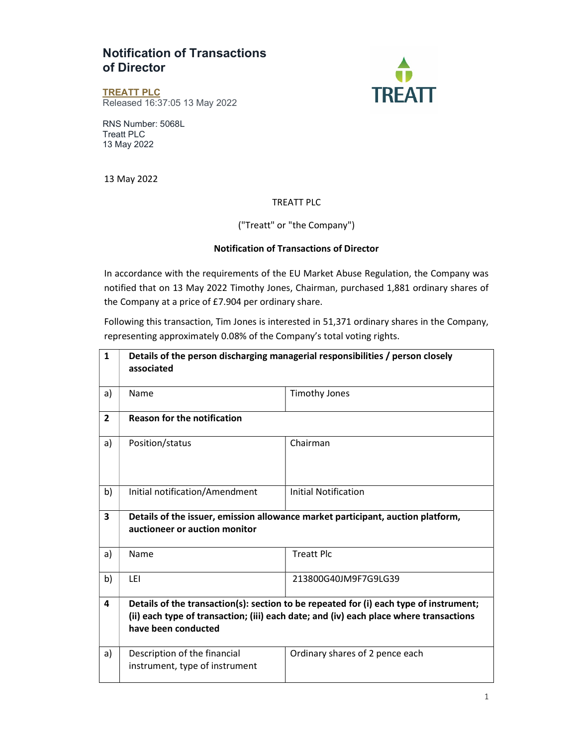## Notification of Transactions of Director



TREATT PLC Released 16:37:05 13 May 2022

RNS Number: 5068L Treatt PLC 13 May 2022

13 May 2022

## TREATT PLC

## ("Treatt" or "the Company")

## Notification of Transactions of Director

In accordance with the requirements of the EU Market Abuse Regulation, the Company was notified that on 13 May 2022 Timothy Jones, Chairman, purchased 1,881 ordinary shares of the Company at a price of £7.904 per ordinary share.

Following this transaction, Tim Jones is interested in 51,371 ordinary shares in the Company, representing approximately 0.08% of the Company's total voting rights.

| $\mathbf{1}$   | Details of the person discharging managerial responsibilities / person closely<br>associated                                                                                                            |                                 |  |
|----------------|---------------------------------------------------------------------------------------------------------------------------------------------------------------------------------------------------------|---------------------------------|--|
| a)             | Name                                                                                                                                                                                                    | <b>Timothy Jones</b>            |  |
| $\overline{2}$ | <b>Reason for the notification</b>                                                                                                                                                                      |                                 |  |
| a)             | Position/status                                                                                                                                                                                         | Chairman                        |  |
| b)             | Initial notification/Amendment                                                                                                                                                                          | Initial Notification            |  |
| 3              | Details of the issuer, emission allowance market participant, auction platform,<br>auctioneer or auction monitor                                                                                        |                                 |  |
| a)             | Name                                                                                                                                                                                                    | <b>Treatt Plc</b>               |  |
| b)             | LEI                                                                                                                                                                                                     | 213800G40JM9F7G9LG39            |  |
| 4              | Details of the transaction(s): section to be repeated for (i) each type of instrument;<br>(ii) each type of transaction; (iii) each date; and (iv) each place where transactions<br>have been conducted |                                 |  |
| a)             | Description of the financial<br>instrument, type of instrument                                                                                                                                          | Ordinary shares of 2 pence each |  |